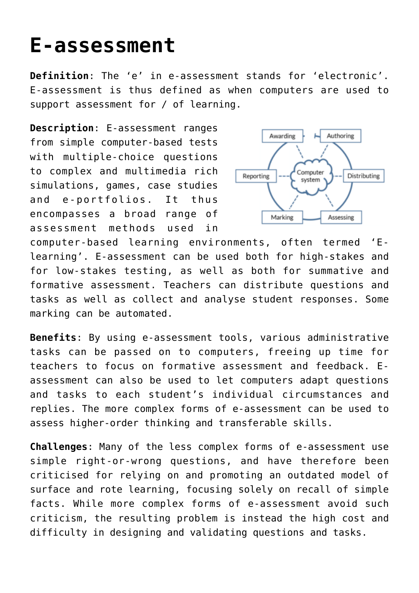## **[E-assessment](http://entreassess.com/2018/05/23/e-assessment-2/)**

**Definition**: The 'e' in e-assessment stands for 'electronic'. [E-assessment is thus defined as when computers are used to](https://books.google.is/books?hl=en&lr=&id=mwNEAgAAQBAJ&oi=fnd&pg=PP2&dq=+Key++concepts++in++educational++assessment&ots=cbrrSwcjcS&sig=U5NlVKoem3y_3absOweAmEf8paI&redir_esc=y#v=onepage&q&f=false) [support assessment for / of learning](https://books.google.is/books?hl=en&lr=&id=mwNEAgAAQBAJ&oi=fnd&pg=PP2&dq=+Key++concepts++in++educational++assessment&ots=cbrrSwcjcS&sig=U5NlVKoem3y_3absOweAmEf8paI&redir_esc=y#v=onepage&q&f=false).

**Description**: E-assessment ranges from simple computer-based tests with multiple-choice questions to complex and multimedia rich simulations, games, case studies and e-portfolios. It thus encompasses a broad range of assessment methods used in



computer-based learning environments, often termed 'Elearning'. E-assessment can be used both for high-stakes and for low-stakes testing, as well as both for summative and formative assessment. Teachers can distribute questions and tasks as well as collect and analyse student responses. Some marking can be automated.

**Benefits**: By using e-assessment tools, various administrative tasks can be passed on to computers, freeing up time for teachers to focus on formative assessment and feedback. Eassessment can also be used to let computers adapt questions and tasks to each student's individual circumstances and replies. The more complex forms of e-assessment can be used to assess higher-order thinking and transferable skills.

**Challenges**: Many of the less complex forms of e-assessment use simple right-or-wrong questions, and [have therefore been](https://www.tandfonline.com/doi/abs/10.1080/02602930801956034) [criticised for relying on and promoting an outdated model of](https://www.tandfonline.com/doi/abs/10.1080/02602930801956034) [surface and rote learning, focusing solely on recall of simple](https://www.tandfonline.com/doi/abs/10.1080/02602930801956034) [facts.](https://www.tandfonline.com/doi/abs/10.1080/02602930801956034) While more complex forms of e-assessment avoid such criticism, the resulting problem is instead the high cost and difficulty in designing and validating questions and tasks.